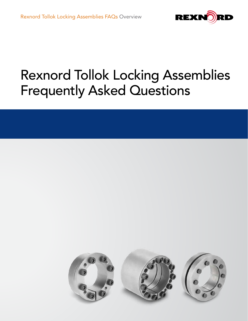

# Rexnord Tollok Locking Assemblies Frequently Asked Questions

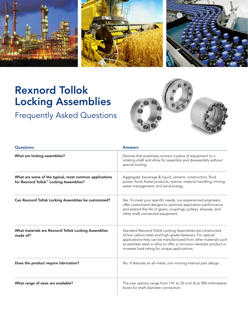

## Rexnord Tollok Locking Assemblies

### Frequently Asked Questions



| <b>Questions</b>                                                                                  | <b>Answers</b>                                                                                                                                                                                                                                                                                                       |
|---------------------------------------------------------------------------------------------------|----------------------------------------------------------------------------------------------------------------------------------------------------------------------------------------------------------------------------------------------------------------------------------------------------------------------|
| What are locking assemblies?                                                                      | Devices that positively connect a piece of equipment to a<br>rotating shaft and allow for assembly and disassembly without<br>special tooling.                                                                                                                                                                       |
| What are some of the typical, most common applications<br>for Rexnord Tollok™ Locking Assemblies? | Aggregate, beverage & liquid, cement, construction, fluid<br>power, food, forest products, marine, material handling, mining,<br>water management, and wind energy.                                                                                                                                                  |
| Can Rexnord Tollok Locking Assemblies be customized?                                              | Yes. To meet your specific needs, our experienced engineers<br>offer customized designs to optimize application performance<br>and extend the life of gears, couplings, pulleys, sheaves, and<br>other shaft-connected equipment.                                                                                    |
| What materials are Rexnord Tollok Locking Assemblies<br>made of?                                  | Standard Rexnord Tollok Locking Assemblies are constructed<br>of low-carbon steel and high-grade fasteners. For special<br>applications they can be manufactured from other materials such<br>as stainless steel or alloy to offer a corrosion-resistant product or<br>increase load rating for unique applications. |
| Does the product require lubrication?                                                             | No. It features an all-metal, non moving internal part design.                                                                                                                                                                                                                                                       |
| What range of sizes are available?                                                                | The size options range from 1/4- to 35-inch (6 to 900 millimeters)<br>bores for shaft diameter connection.                                                                                                                                                                                                           |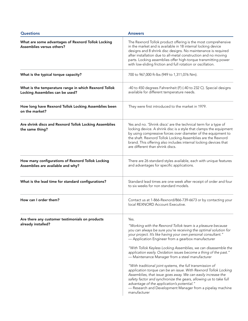| <b>Questions</b>                                                                         | <b>Answers</b>                                                                                                                                                                                                                                                                                                                                                                                                                                                                                                                                                                                                                                                                                                                                                                                                                                            |
|------------------------------------------------------------------------------------------|-----------------------------------------------------------------------------------------------------------------------------------------------------------------------------------------------------------------------------------------------------------------------------------------------------------------------------------------------------------------------------------------------------------------------------------------------------------------------------------------------------------------------------------------------------------------------------------------------------------------------------------------------------------------------------------------------------------------------------------------------------------------------------------------------------------------------------------------------------------|
| What are some advantages of Rexnord Tollok Locking<br>Assemblies versus others?          | The Rexnord Tollok product offering is the most comprehensive<br>in the market and is available in 18 internal locking device<br>designs and 8 shrink disc designs. No maintenance is required<br>after installation due to all-metal construction and no moving<br>parts. Locking assemblies offer high-torque transmitting power<br>with low-sliding friction and full rotation or oscillation.                                                                                                                                                                                                                                                                                                                                                                                                                                                         |
| What is the typical torque capacity?                                                     | 700 to 967,000 ft-lbs (949 to 1,311,076 Nm).                                                                                                                                                                                                                                                                                                                                                                                                                                                                                                                                                                                                                                                                                                                                                                                                              |
| What is the temperature range in which Rexnord Tollok<br>Locking Assemblies can be used? | -40 to 450 degrees Fahrenheit (F) (-40 to 232 C). Special designs<br>available for different temperature needs.                                                                                                                                                                                                                                                                                                                                                                                                                                                                                                                                                                                                                                                                                                                                           |
| How long have Rexnord Tollok Locking Assemblies been<br>on the market?                   | They were first introduced to the market in 1979.                                                                                                                                                                                                                                                                                                                                                                                                                                                                                                                                                                                                                                                                                                                                                                                                         |
| Are shrink discs and Rexnord Tollok Locking Assemblies<br>the same thing?                | Yes and no. 'Shrink discs' are the technical term for a type of<br>locking device. A shrink disc is a style that clamps the equipment<br>by using compressive forces over diameter of the equipment to<br>the shaft. Rexnord Tollok Locking Assemblies are the Rexnord<br>brand. This offering also includes internal locking devices that<br>are different than shrink discs.                                                                                                                                                                                                                                                                                                                                                                                                                                                                            |
| How many configurations of Rexnord Tollok Locking<br>Assemblies are available and why?   | There are 26 standard styles available, each with unique features<br>and advantages for specific applications.                                                                                                                                                                                                                                                                                                                                                                                                                                                                                                                                                                                                                                                                                                                                            |
| What is the lead time for standard configurations?                                       | Standard lead times are one week after receipt of order and four<br>to six weeks for non standard models.                                                                                                                                                                                                                                                                                                                                                                                                                                                                                                                                                                                                                                                                                                                                                 |
| How can I order them?                                                                    | Contact us at 1-866-Rexnord/866-739-6673 or by contacting your<br>local REXNORD Account Executive.                                                                                                                                                                                                                                                                                                                                                                                                                                                                                                                                                                                                                                                                                                                                                        |
| Are there any customer testimonials on products<br>already installed?                    | Yes.<br>"Working with the Rexnord Tollok team is a pleasure because<br>you can always be sure you're receiving the optimal solution for<br>your project. It's like having your own personal consultant."<br>- Application Engineer from a gearbox manufacturer<br>"With Tollok Keyless Locking Assemblies, we can disassemble the<br>application easily. Oxidation issues become a thing of the past."<br>- Maintenance Manager from a steel manufacturer<br>"With traditional joint systems, the full transmission of<br>application torque can be an issue. With Rexnord Tollok Locking<br>Assemblies, that issue goes away. We can easily increase the<br>safety factor and synchronize the gears, allowing us to take full<br>advantage of the application's potential."<br>- Research and Development Manager from a pipelay machine<br>manufacturer |